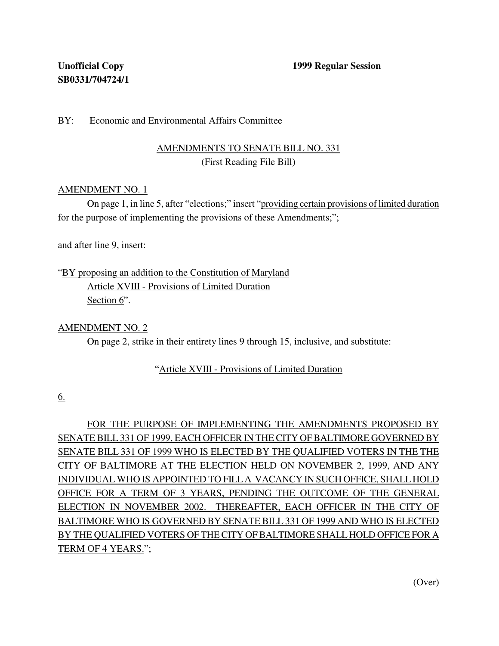## BY: Economic and Environmental Affairs Committee

# AMENDMENTS TO SENATE BILL NO. 331 (First Reading File Bill)

### AMENDMENT NO. 1

On page 1, in line 5, after "elections;" insert "providing certain provisions of limited duration for the purpose of implementing the provisions of these Amendments;";

and after line 9, insert:

"BY proposing an addition to the Constitution of Maryland Article XVIII - Provisions of Limited Duration Section 6".

### AMENDMENT NO. 2

On page 2, strike in their entirety lines 9 through 15, inclusive, and substitute:

### "Article XVIII - Provisions of Limited Duration

6.

FOR THE PURPOSE OF IMPLEMENTING THE AMENDMENTS PROPOSED BY SENATE BILL 331 OF 1999, EACH OFFICER IN THE CITY OF BALTIMORE GOVERNED BY SENATE BILL 331 OF 1999 WHO IS ELECTED BY THE QUALIFIED VOTERS IN THE THE CITY OF BALTIMORE AT THE ELECTION HELD ON NOVEMBER 2, 1999, AND ANY INDIVIDUAL WHO IS APPOINTED TO FILL A VACANCY IN SUCH OFFICE, SHALL HOLD OFFICE FOR A TERM OF 3 YEARS, PENDING THE OUTCOME OF THE GENERAL ELECTION IN NOVEMBER 2002. THEREAFTER, EACH OFFICER IN THE CITY OF BALTIMORE WHO IS GOVERNED BY SENATE BILL 331 OF 1999 AND WHO IS ELECTED BY THE QUALIFIED VOTERS OF THE CITY OF BALTIMORE SHALL HOLD OFFICE FOR A TERM OF 4 YEARS.";

(Over)